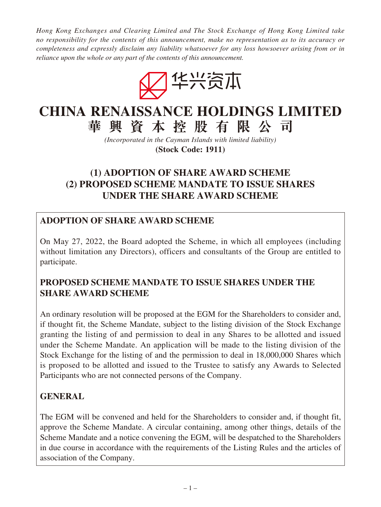*Hong Kong Exchanges and Clearing Limited and The Stock Exchange of Hong Kong Limited take no responsibility for the contents of this announcement, make no representation as to its accuracy or completeness and expressly disclaim any liability whatsoever for any loss howsoever arising from or in reliance upon the whole or any part of the contents of this announcement.*



# **CHINA RENAISSANCE HOLDINGS LIMITED 華興資本控股有限公司**

*(Incorporated in the Cayman Islands with limited liability)* **(Stock Code: 1911)**

# **(1) ADOPTION OF SHARE AWARD SCHEME (2) PROPOSED SCHEME MANDATE TO ISSUE SHARES UNDER THE SHARE AWARD SCHEME**

# **ADOPTION OF SHARE AWARD SCHEME**

On May 27, 2022, the Board adopted the Scheme, in which all employees (including without limitation any Directors), officers and consultants of the Group are entitled to participate.

## **PROPOSED SCHEME MANDATE TO ISSUE SHARES UNDER THE SHARE AWARD SCHEME**

An ordinary resolution will be proposed at the EGM for the Shareholders to consider and, if thought fit, the Scheme Mandate, subject to the listing division of the Stock Exchange granting the listing of and permission to deal in any Shares to be allotted and issued under the Scheme Mandate. An application will be made to the listing division of the Stock Exchange for the listing of and the permission to deal in 18,000,000 Shares which is proposed to be allotted and issued to the Trustee to satisfy any Awards to Selected Participants who are not connected persons of the Company.

## **GENERAL**

The EGM will be convened and held for the Shareholders to consider and, if thought fit, approve the Scheme Mandate. A circular containing, among other things, details of the Scheme Mandate and a notice convening the EGM, will be despatched to the Shareholders in due course in accordance with the requirements of the Listing Rules and the articles of association of the Company.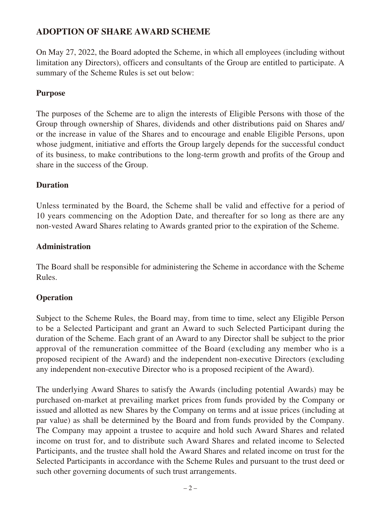## **ADOPTION OF SHARE AWARD SCHEME**

On May 27, 2022, the Board adopted the Scheme, in which all employees (including without limitation any Directors), officers and consultants of the Group are entitled to participate. A summary of the Scheme Rules is set out below:

#### **Purpose**

The purposes of the Scheme are to align the interests of Eligible Persons with those of the Group through ownership of Shares, dividends and other distributions paid on Shares and/ or the increase in value of the Shares and to encourage and enable Eligible Persons, upon whose judgment, initiative and efforts the Group largely depends for the successful conduct of its business, to make contributions to the long-term growth and profits of the Group and share in the success of the Group.

#### **Duration**

Unless terminated by the Board, the Scheme shall be valid and effective for a period of 10 years commencing on the Adoption Date, and thereafter for so long as there are any non-vested Award Shares relating to Awards granted prior to the expiration of the Scheme.

#### **Administration**

The Board shall be responsible for administering the Scheme in accordance with the Scheme Rules.

### **Operation**

Subject to the Scheme Rules, the Board may, from time to time, select any Eligible Person to be a Selected Participant and grant an Award to such Selected Participant during the duration of the Scheme. Each grant of an Award to any Director shall be subject to the prior approval of the remuneration committee of the Board (excluding any member who is a proposed recipient of the Award) and the independent non-executive Directors (excluding any independent non-executive Director who is a proposed recipient of the Award).

The underlying Award Shares to satisfy the Awards (including potential Awards) may be purchased on-market at prevailing market prices from funds provided by the Company or issued and allotted as new Shares by the Company on terms and at issue prices (including at par value) as shall be determined by the Board and from funds provided by the Company. The Company may appoint a trustee to acquire and hold such Award Shares and related income on trust for, and to distribute such Award Shares and related income to Selected Participants, and the trustee shall hold the Award Shares and related income on trust for the Selected Participants in accordance with the Scheme Rules and pursuant to the trust deed or such other governing documents of such trust arrangements.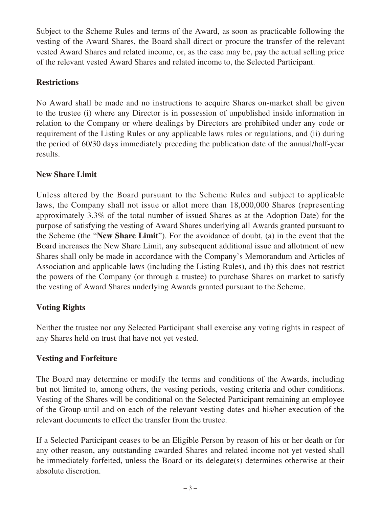Subject to the Scheme Rules and terms of the Award, as soon as practicable following the vesting of the Award Shares, the Board shall direct or procure the transfer of the relevant vested Award Shares and related income, or, as the case may be, pay the actual selling price of the relevant vested Award Shares and related income to, the Selected Participant.

### **Restrictions**

No Award shall be made and no instructions to acquire Shares on-market shall be given to the trustee (i) where any Director is in possession of unpublished inside information in relation to the Company or where dealings by Directors are prohibited under any code or requirement of the Listing Rules or any applicable laws rules or regulations, and (ii) during the period of 60/30 days immediately preceding the publication date of the annual/half-year results.

## **New Share Limit**

Unless altered by the Board pursuant to the Scheme Rules and subject to applicable laws, the Company shall not issue or allot more than 18,000,000 Shares (representing approximately 3.3% of the total number of issued Shares as at the Adoption Date) for the purpose of satisfying the vesting of Award Shares underlying all Awards granted pursuant to the Scheme (the "**New Share Limit**"). For the avoidance of doubt, (a) in the event that the Board increases the New Share Limit, any subsequent additional issue and allotment of new Shares shall only be made in accordance with the Company's Memorandum and Articles of Association and applicable laws (including the Listing Rules), and (b) this does not restrict the powers of the Company (or through a trustee) to purchase Shares on market to satisfy the vesting of Award Shares underlying Awards granted pursuant to the Scheme.

## **Voting Rights**

Neither the trustee nor any Selected Participant shall exercise any voting rights in respect of any Shares held on trust that have not yet vested.

## **Vesting and Forfeiture**

The Board may determine or modify the terms and conditions of the Awards, including but not limited to, among others, the vesting periods, vesting criteria and other conditions. Vesting of the Shares will be conditional on the Selected Participant remaining an employee of the Group until and on each of the relevant vesting dates and his/her execution of the relevant documents to effect the transfer from the trustee.

If a Selected Participant ceases to be an Eligible Person by reason of his or her death or for any other reason, any outstanding awarded Shares and related income not yet vested shall be immediately forfeited, unless the Board or its delegate(s) determines otherwise at their absolute discretion.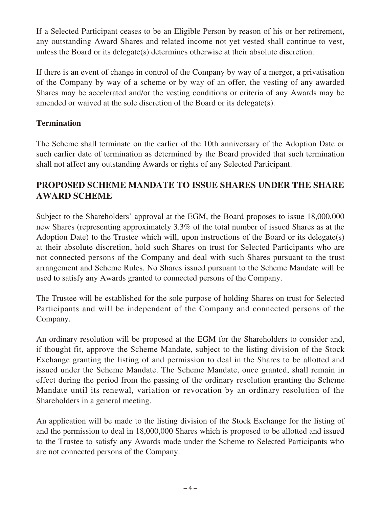If a Selected Participant ceases to be an Eligible Person by reason of his or her retirement, any outstanding Award Shares and related income not yet vested shall continue to vest, unless the Board or its delegate(s) determines otherwise at their absolute discretion.

If there is an event of change in control of the Company by way of a merger, a privatisation of the Company by way of a scheme or by way of an offer, the vesting of any awarded Shares may be accelerated and/or the vesting conditions or criteria of any Awards may be amended or waived at the sole discretion of the Board or its delegate(s).

## **Termination**

The Scheme shall terminate on the earlier of the 10th anniversary of the Adoption Date or such earlier date of termination as determined by the Board provided that such termination shall not affect any outstanding Awards or rights of any Selected Participant.

## **PROPOSED SCHEME MANDATE TO ISSUE SHARES UNDER THE SHARE AWARD SCHEME**

Subject to the Shareholders' approval at the EGM, the Board proposes to issue 18,000,000 new Shares (representing approximately 3.3% of the total number of issued Shares as at the Adoption Date) to the Trustee which will, upon instructions of the Board or its delegate(s) at their absolute discretion, hold such Shares on trust for Selected Participants who are not connected persons of the Company and deal with such Shares pursuant to the trust arrangement and Scheme Rules. No Shares issued pursuant to the Scheme Mandate will be used to satisfy any Awards granted to connected persons of the Company.

The Trustee will be established for the sole purpose of holding Shares on trust for Selected Participants and will be independent of the Company and connected persons of the Company.

An ordinary resolution will be proposed at the EGM for the Shareholders to consider and, if thought fit, approve the Scheme Mandate, subject to the listing division of the Stock Exchange granting the listing of and permission to deal in the Shares to be allotted and issued under the Scheme Mandate. The Scheme Mandate, once granted, shall remain in effect during the period from the passing of the ordinary resolution granting the Scheme Mandate until its renewal, variation or revocation by an ordinary resolution of the Shareholders in a general meeting.

An application will be made to the listing division of the Stock Exchange for the listing of and the permission to deal in 18,000,000 Shares which is proposed to be allotted and issued to the Trustee to satisfy any Awards made under the Scheme to Selected Participants who are not connected persons of the Company.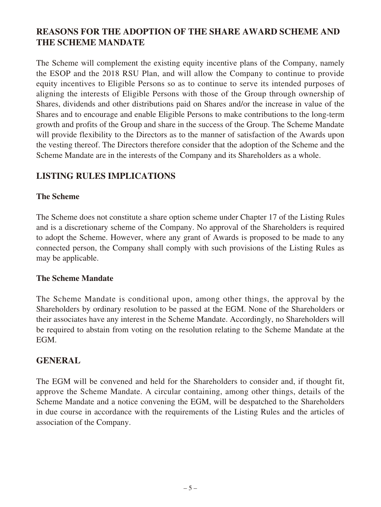# **REASONS FOR THE ADOPTION OF THE SHARE AWARD SCHEME AND THE SCHEME MANDATE**

The Scheme will complement the existing equity incentive plans of the Company, namely the ESOP and the 2018 RSU Plan, and will allow the Company to continue to provide equity incentives to Eligible Persons so as to continue to serve its intended purposes of aligning the interests of Eligible Persons with those of the Group through ownership of Shares, dividends and other distributions paid on Shares and/or the increase in value of the Shares and to encourage and enable Eligible Persons to make contributions to the long-term growth and profits of the Group and share in the success of the Group. The Scheme Mandate will provide flexibility to the Directors as to the manner of satisfaction of the Awards upon the vesting thereof. The Directors therefore consider that the adoption of the Scheme and the Scheme Mandate are in the interests of the Company and its Shareholders as a whole.

## **LISTING RULES IMPLICATIONS**

### **The Scheme**

The Scheme does not constitute a share option scheme under Chapter 17 of the Listing Rules and is a discretionary scheme of the Company. No approval of the Shareholders is required to adopt the Scheme. However, where any grant of Awards is proposed to be made to any connected person, the Company shall comply with such provisions of the Listing Rules as may be applicable.

### **The Scheme Mandate**

The Scheme Mandate is conditional upon, among other things, the approval by the Shareholders by ordinary resolution to be passed at the EGM. None of the Shareholders or their associates have any interest in the Scheme Mandate. Accordingly, no Shareholders will be required to abstain from voting on the resolution relating to the Scheme Mandate at the EGM.

### **GENERAL**

The EGM will be convened and held for the Shareholders to consider and, if thought fit, approve the Scheme Mandate. A circular containing, among other things, details of the Scheme Mandate and a notice convening the EGM, will be despatched to the Shareholders in due course in accordance with the requirements of the Listing Rules and the articles of association of the Company.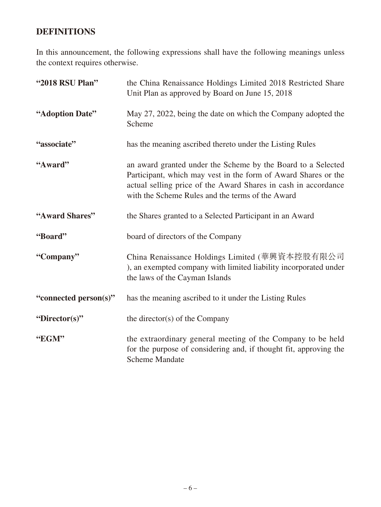# **DEFINITIONS**

In this announcement, the following expressions shall have the following meanings unless the context requires otherwise.

| "2018 RSU Plan"       | the China Renaissance Holdings Limited 2018 Restricted Share<br>Unit Plan as approved by Board on June 15, 2018                                                                                                                                      |
|-----------------------|------------------------------------------------------------------------------------------------------------------------------------------------------------------------------------------------------------------------------------------------------|
| "Adoption Date"       | May 27, 2022, being the date on which the Company adopted the<br>Scheme                                                                                                                                                                              |
| "associate"           | has the meaning ascribed thereto under the Listing Rules                                                                                                                                                                                             |
| "Award"               | an award granted under the Scheme by the Board to a Selected<br>Participant, which may vest in the form of Award Shares or the<br>actual selling price of the Award Shares in cash in accordance<br>with the Scheme Rules and the terms of the Award |
| "Award Shares"        | the Shares granted to a Selected Participant in an Award                                                                                                                                                                                             |
| "Board"               | board of directors of the Company                                                                                                                                                                                                                    |
| "Company"             | China Renaissance Holdings Limited (華興資本控股有限公司<br>), an exempted company with limited liability incorporated under<br>the laws of the Cayman Islands                                                                                                 |
| "connected person(s)" | has the meaning ascribed to it under the Listing Rules                                                                                                                                                                                               |
| "Director(s)"         | the director(s) of the Company                                                                                                                                                                                                                       |
| "EGM"                 | the extraordinary general meeting of the Company to be held<br>for the purpose of considering and, if thought fit, approving the<br><b>Scheme Mandate</b>                                                                                            |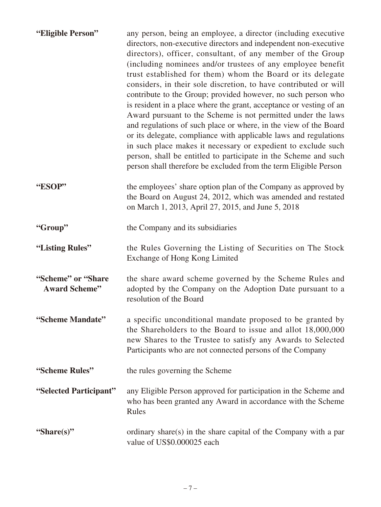| "Eligible Person"                           | any person, being an employee, a director (including executive<br>directors, non-executive directors and independent non-executive<br>directors), officer, consultant, of any member of the Group<br>(including nominees and/or trustees of any employee benefit<br>trust established for them) whom the Board or its delegate<br>considers, in their sole discretion, to have contributed or will<br>contribute to the Group; provided however, no such person who<br>is resident in a place where the grant, acceptance or vesting of an<br>Award pursuant to the Scheme is not permitted under the laws<br>and regulations of such place or where, in the view of the Board<br>or its delegate, compliance with applicable laws and regulations<br>in such place makes it necessary or expedient to exclude such<br>person, shall be entitled to participate in the Scheme and such<br>person shall therefore be excluded from the term Eligible Person |
|---------------------------------------------|------------------------------------------------------------------------------------------------------------------------------------------------------------------------------------------------------------------------------------------------------------------------------------------------------------------------------------------------------------------------------------------------------------------------------------------------------------------------------------------------------------------------------------------------------------------------------------------------------------------------------------------------------------------------------------------------------------------------------------------------------------------------------------------------------------------------------------------------------------------------------------------------------------------------------------------------------------|
| "ESOP"                                      | the employees' share option plan of the Company as approved by<br>the Board on August 24, 2012, which was amended and restated<br>on March 1, 2013, April 27, 2015, and June 5, 2018                                                                                                                                                                                                                                                                                                                                                                                                                                                                                                                                                                                                                                                                                                                                                                       |
| "Group"                                     | the Company and its subsidiaries                                                                                                                                                                                                                                                                                                                                                                                                                                                                                                                                                                                                                                                                                                                                                                                                                                                                                                                           |
| "Listing Rules"                             | the Rules Governing the Listing of Securities on The Stock<br>Exchange of Hong Kong Limited                                                                                                                                                                                                                                                                                                                                                                                                                                                                                                                                                                                                                                                                                                                                                                                                                                                                |
| "Scheme" or "Share"<br><b>Award Scheme"</b> | the share award scheme governed by the Scheme Rules and<br>adopted by the Company on the Adoption Date pursuant to a<br>resolution of the Board                                                                                                                                                                                                                                                                                                                                                                                                                                                                                                                                                                                                                                                                                                                                                                                                            |
| "Scheme Mandate"                            | a specific unconditional mandate proposed to be granted by<br>the Shareholders to the Board to issue and allot 18,000,000<br>new Shares to the Trustee to satisfy any Awards to Selected<br>Participants who are not connected persons of the Company                                                                                                                                                                                                                                                                                                                                                                                                                                                                                                                                                                                                                                                                                                      |
| "Scheme Rules"                              | the rules governing the Scheme                                                                                                                                                                                                                                                                                                                                                                                                                                                                                                                                                                                                                                                                                                                                                                                                                                                                                                                             |
| "Selected Participant"                      | any Eligible Person approved for participation in the Scheme and<br>who has been granted any Award in accordance with the Scheme<br>Rules                                                                                                                                                                                                                                                                                                                                                                                                                                                                                                                                                                                                                                                                                                                                                                                                                  |
| "Share(s)"                                  | ordinary share(s) in the share capital of the Company with a par<br>value of US\$0.000025 each                                                                                                                                                                                                                                                                                                                                                                                                                                                                                                                                                                                                                                                                                                                                                                                                                                                             |